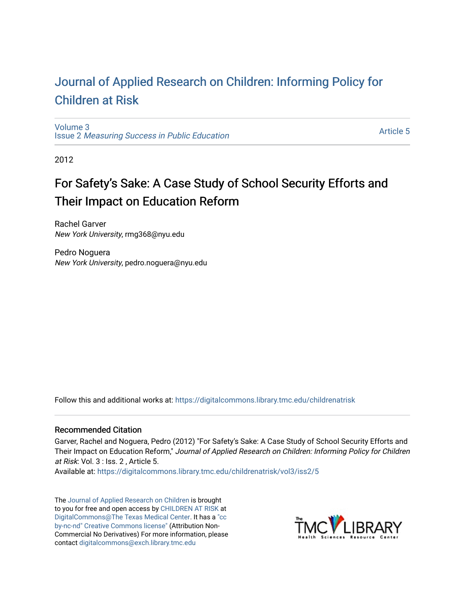## [Journal of Applied Research on Children: Informing Policy for](https://digitalcommons.library.tmc.edu/childrenatrisk) [Children at Risk](https://digitalcommons.library.tmc.edu/childrenatrisk)

[Volume 3](https://digitalcommons.library.tmc.edu/childrenatrisk/vol3) Issue 2 [Measuring Success in Public Education](https://digitalcommons.library.tmc.edu/childrenatrisk/vol3/iss2) 

[Article 5](https://digitalcommons.library.tmc.edu/childrenatrisk/vol3/iss2/5) 

2012

# For Safety's Sake: A Case Study of School Security Efforts and Their Impact on Education Reform

Rachel Garver New York University, rmg368@nyu.edu

Pedro Noguera New York University, pedro.noguera@nyu.edu

Follow this and additional works at: [https://digitalcommons.library.tmc.edu/childrenatrisk](https://digitalcommons.library.tmc.edu/childrenatrisk?utm_source=digitalcommons.library.tmc.edu%2Fchildrenatrisk%2Fvol3%2Fiss2%2F5&utm_medium=PDF&utm_campaign=PDFCoverPages) 

#### Recommended Citation

Garver, Rachel and Noguera, Pedro (2012) "For Safety's Sake: A Case Study of School Security Efforts and Their Impact on Education Reform," Journal of Applied Research on Children: Informing Policy for Children at Risk: Vol. 3 : Iss. 2 , Article 5.

Available at: [https://digitalcommons.library.tmc.edu/childrenatrisk/vol3/iss2/5](https://digitalcommons.library.tmc.edu/childrenatrisk/vol3/iss2/5?utm_source=digitalcommons.library.tmc.edu%2Fchildrenatrisk%2Fvol3%2Fiss2%2F5&utm_medium=PDF&utm_campaign=PDFCoverPages)

The [Journal of Applied Research on Children](http://digitalcommons.library.tmc.edu/childrenatrisk) is brought to you for free and open access by [CHILDREN AT RISK](http://childrenatrisk.org/) at [DigitalCommons@The Texas Medical Center](http://digitalcommons.library.tmc.edu/). It has a ["cc](http://creativecommons.org/licenses/by-nc-nd/3.0/)  [by-nc-nd" Creative Commons license"](http://creativecommons.org/licenses/by-nc-nd/3.0/) (Attribution Non-Commercial No Derivatives) For more information, please contact [digitalcommons@exch.library.tmc.edu](mailto:digitalcommons@exch.library.tmc.edu) 

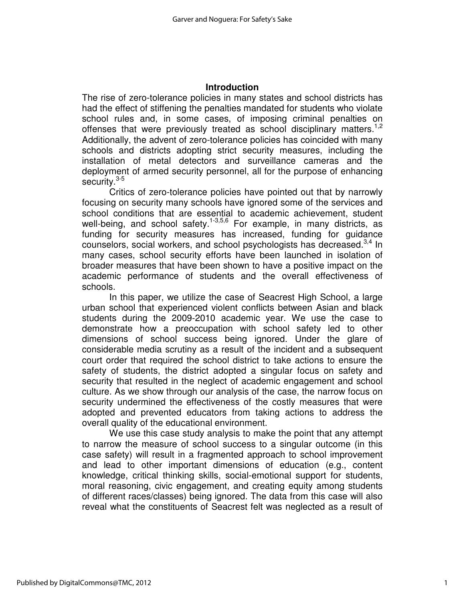#### **Introduction**

The rise of zero-tolerance policies in many states and school districts has had the effect of stiffening the penalties mandated for students who violate school rules and, in some cases, of imposing criminal penalties on offenses that were previously treated as school disciplinary matters.<sup>1,2</sup> Additionally, the advent of zero-tolerance policies has coincided with many schools and districts adopting strict security measures, including the installation of metal detectors and surveillance cameras and the deployment of armed security personnel, all for the purpose of enhancing security.<sup>3-5</sup>

Critics of zero-tolerance policies have pointed out that by narrowly focusing on security many schools have ignored some of the services and school conditions that are essential to academic achievement, student well-being, and school safety.<sup>1-3,5,6</sup> For example, in many districts, as funding for security measures has increased, funding for guidance counselors, social workers, and school psychologists has decreased.<sup>3,4</sup> In many cases, school security efforts have been launched in isolation of broader measures that have been shown to have a positive impact on the academic performance of students and the overall effectiveness of schools.

In this paper, we utilize the case of Seacrest High School, a large urban school that experienced violent conflicts between Asian and black students during the 2009-2010 academic year. We use the case to demonstrate how a preoccupation with school safety led to other dimensions of school success being ignored. Under the glare of considerable media scrutiny as a result of the incident and a subsequent court order that required the school district to take actions to ensure the safety of students, the district adopted a singular focus on safety and security that resulted in the neglect of academic engagement and school culture. As we show through our analysis of the case, the narrow focus on security undermined the effectiveness of the costly measures that were adopted and prevented educators from taking actions to address the overall quality of the educational environment.

We use this case study analysis to make the point that any attempt to narrow the measure of school success to a singular outcome (in this case safety) will result in a fragmented approach to school improvement and lead to other important dimensions of education (e.g., content knowledge, critical thinking skills, social-emotional support for students, moral reasoning, civic engagement, and creating equity among students of different races/classes) being ignored. The data from this case will also reveal what the constituents of Seacrest felt was neglected as a result of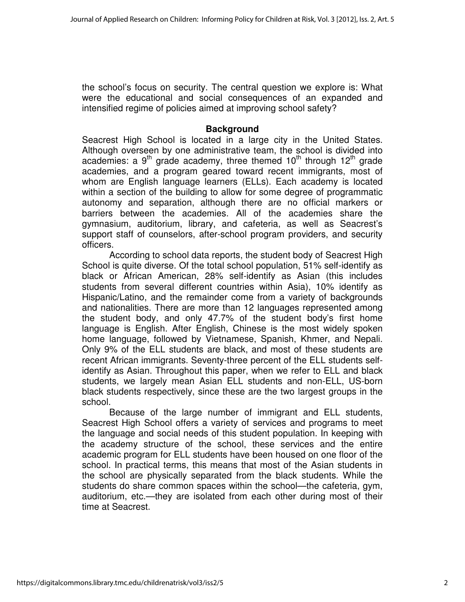the school's focus on security. The central question we explore is: What were the educational and social consequences of an expanded and intensified regime of policies aimed at improving school safety?

### **Background**

Seacrest High School is located in a large city in the United States. Although overseen by one administrative team, the school is divided into academies: a  $9<sup>th</sup>$  grade academy, three themed  $10<sup>th</sup>$  through  $12<sup>th</sup>$  grade academies, and a program geared toward recent immigrants, most of whom are English language learners (ELLs). Each academy is located within a section of the building to allow for some degree of programmatic autonomy and separation, although there are no official markers or barriers between the academies. All of the academies share the gymnasium, auditorium, library, and cafeteria, as well as Seacrest's support staff of counselors, after-school program providers, and security officers.

According to school data reports, the student body of Seacrest High School is quite diverse. Of the total school population, 51% self-identify as black or African American, 28% self-identify as Asian (this includes students from several different countries within Asia), 10% identify as Hispanic/Latino, and the remainder come from a variety of backgrounds and nationalities. There are more than 12 languages represented among the student body, and only 47.7% of the student body's first home language is English. After English, Chinese is the most widely spoken home language, followed by Vietnamese, Spanish, Khmer, and Nepali. Only 9% of the ELL students are black, and most of these students are recent African immigrants. Seventy-three percent of the ELL students selfidentify as Asian. Throughout this paper, when we refer to ELL and black students, we largely mean Asian ELL students and non-ELL, US-born black students respectively, since these are the two largest groups in the school.

Because of the large number of immigrant and ELL students, Seacrest High School offers a variety of services and programs to meet the language and social needs of this student population. In keeping with the academy structure of the school, these services and the entire academic program for ELL students have been housed on one floor of the school. In practical terms, this means that most of the Asian students in the school are physically separated from the black students. While the students do share common spaces within the school—the cafeteria, gym, auditorium, etc.—they are isolated from each other during most of their time at Seacrest.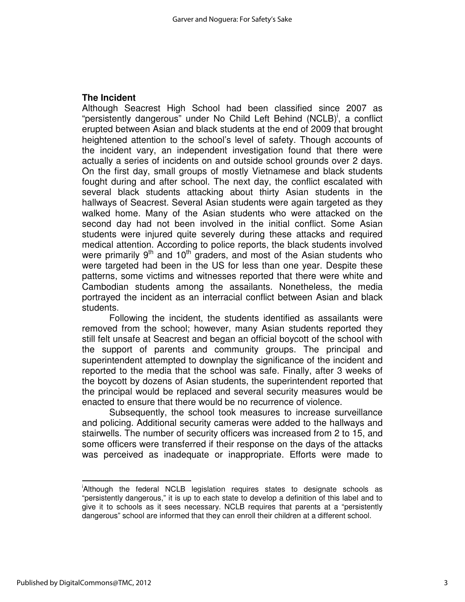## **The Incident**

Although Seacrest High School had been classified since 2007 as "persistently dangerous" under No Child Left Behind (NCLB)<sup>i</sup>, a conflict erupted between Asian and black students at the end of 2009 that brought heightened attention to the school's level of safety. Though accounts of the incident vary, an independent investigation found that there were actually a series of incidents on and outside school grounds over 2 days. On the first day, small groups of mostly Vietnamese and black students fought during and after school. The next day, the conflict escalated with several black students attacking about thirty Asian students in the hallways of Seacrest. Several Asian students were again targeted as they walked home. Many of the Asian students who were attacked on the second day had not been involved in the initial conflict. Some Asian students were injured quite severely during these attacks and required medical attention. According to police reports, the black students involved were primarily  $9<sup>th</sup>$  and 10<sup>th</sup> graders, and most of the Asian students who were targeted had been in the US for less than one year. Despite these patterns, some victims and witnesses reported that there were white and Cambodian students among the assailants. Nonetheless, the media portrayed the incident as an interracial conflict between Asian and black students.

 Following the incident, the students identified as assailants were removed from the school; however, many Asian students reported they still felt unsafe at Seacrest and began an official boycott of the school with the support of parents and community groups. The principal and superintendent attempted to downplay the significance of the incident and reported to the media that the school was safe. Finally, after 3 weeks of the boycott by dozens of Asian students, the superintendent reported that the principal would be replaced and several security measures would be enacted to ensure that there would be no recurrence of violence.

Subsequently, the school took measures to increase surveillance and policing. Additional security cameras were added to the hallways and stairwells. The number of security officers was increased from 2 to 15, and some officers were transferred if their response on the days of the attacks was perceived as inadequate or inappropriate. Efforts were made to

 $\overline{a}$ 

i Although the federal NCLB legislation requires states to designate schools as "persistently dangerous," it is up to each state to develop a definition of this label and to give it to schools as it sees necessary. NCLB requires that parents at a "persistently dangerous" school are informed that they can enroll their children at a different school.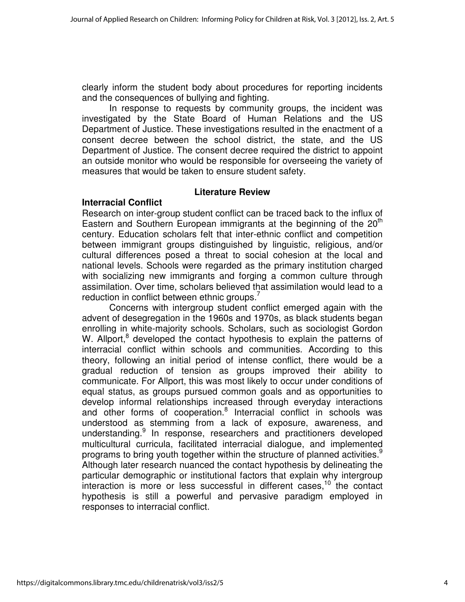clearly inform the student body about procedures for reporting incidents and the consequences of bullying and fighting.

In response to requests by community groups, the incident was investigated by the State Board of Human Relations and the US Department of Justice. These investigations resulted in the enactment of a consent decree between the school district, the state, and the US Department of Justice. The consent decree required the district to appoint an outside monitor who would be responsible for overseeing the variety of measures that would be taken to ensure student safety.

### **Literature Review**

## **Interracial Conflict**

Research on inter-group student conflict can be traced back to the influx of Eastern and Southern European immigrants at the beginning of the  $20<sup>th</sup>$ century. Education scholars felt that inter-ethnic conflict and competition between immigrant groups distinguished by linguistic, religious, and/or cultural differences posed a threat to social cohesion at the local and national levels. Schools were regarded as the primary institution charged with socializing new immigrants and forging a common culture through assimilation. Over time, scholars believed that assimilation would lead to a reduction in conflict between ethnic groups. $^7$ 

Concerns with intergroup student conflict emerged again with the advent of desegregation in the 1960s and 1970s, as black students began enrolling in white-majority schools. Scholars, such as sociologist Gordon W. Allport,<sup>8</sup> developed the contact hypothesis to explain the patterns of interracial conflict within schools and communities. According to this theory, following an initial period of intense conflict, there would be a gradual reduction of tension as groups improved their ability to communicate. For Allport, this was most likely to occur under conditions of equal status, as groups pursued common goals and as opportunities to develop informal relationships increased through everyday interactions and other forms of cooperation.<sup>8</sup> Interracial conflict in schools was understood as stemming from a lack of exposure, awareness, and understanding.<sup>9</sup> In response, researchers and practitioners developed multicultural curricula, facilitated interracial dialogue, and implemented programs to bring youth together within the structure of planned activities.<sup>9</sup> Although later research nuanced the contact hypothesis by delineating the particular demographic or institutional factors that explain why intergroup interaction is more or less successful in different cases,  $10$  the contact hypothesis is still a powerful and pervasive paradigm employed in responses to interracial conflict.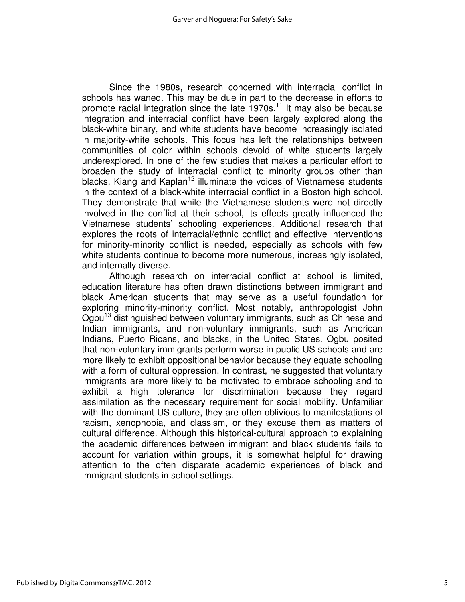Since the 1980s, research concerned with interracial conflict in schools has waned. This may be due in part to the decrease in efforts to promote racial integration since the late  $1970s$ .<sup>11</sup> It may also be because integration and interracial conflict have been largely explored along the black-white binary, and white students have become increasingly isolated in majority-white schools. This focus has left the relationships between communities of color within schools devoid of white students largely underexplored. In one of the few studies that makes a particular effort to broaden the study of interracial conflict to minority groups other than blacks, Kiang and Kaplan<sup>12</sup> illuminate the voices of Vietnamese students in the context of a black-white interracial conflict in a Boston high school. They demonstrate that while the Vietnamese students were not directly involved in the conflict at their school, its effects greatly influenced the Vietnamese students' schooling experiences. Additional research that explores the roots of interracial/ethnic conflict and effective interventions for minority-minority conflict is needed, especially as schools with few white students continue to become more numerous, increasingly isolated, and internally diverse.

Although research on interracial conflict at school is limited, education literature has often drawn distinctions between immigrant and black American students that may serve as a useful foundation for exploring minority-minority conflict. Most notably, anthropologist John Ogbu<sup>13</sup> distinguished between voluntary immigrants, such as Chinese and Indian immigrants, and non-voluntary immigrants, such as American Indians, Puerto Ricans, and blacks, in the United States. Ogbu posited that non-voluntary immigrants perform worse in public US schools and are more likely to exhibit oppositional behavior because they equate schooling with a form of cultural oppression. In contrast, he suggested that voluntary immigrants are more likely to be motivated to embrace schooling and to exhibit a high tolerance for discrimination because they regard assimilation as the necessary requirement for social mobility. Unfamiliar with the dominant US culture, they are often oblivious to manifestations of racism, xenophobia, and classism, or they excuse them as matters of cultural difference. Although this historical-cultural approach to explaining the academic differences between immigrant and black students fails to account for variation within groups, it is somewhat helpful for drawing attention to the often disparate academic experiences of black and immigrant students in school settings.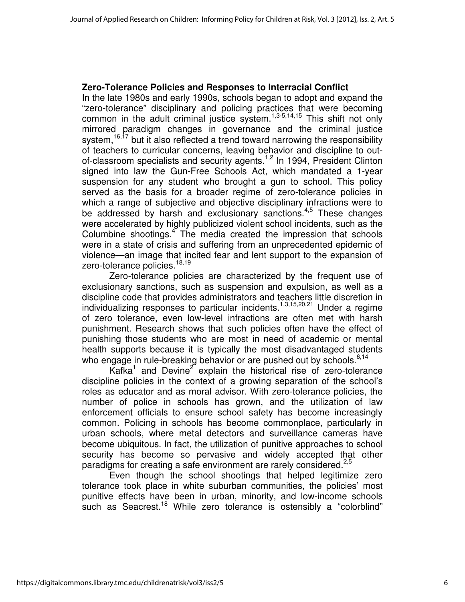## **Zero-Tolerance Policies and Responses to Interracial Conflict**

In the late 1980s and early 1990s, schools began to adopt and expand the "zero-tolerance" disciplinary and policing practices that were becoming common in the adult criminal justice system.<sup>1,3-5,14,15</sup> This shift not only mirrored paradigm changes in governance and the criminal justice system,<sup>16,17</sup> but it also reflected a trend toward narrowing the responsibility of teachers to curricular concerns, leaving behavior and discipline to outof-classroom specialists and security agents.<sup>1,2</sup> In 1994, President Clinton signed into law the Gun-Free Schools Act, which mandated a 1-year suspension for any student who brought a gun to school. This policy served as the basis for a broader regime of zero-tolerance policies in which a range of subjective and objective disciplinary infractions were to be addressed by harsh and exclusionary sanctions.<sup>4,5</sup> These changes were accelerated by highly publicized violent school incidents, such as the Columbine shootings.<sup>4</sup> The media created the impression that schools were in a state of crisis and suffering from an unprecedented epidemic of violence—an image that incited fear and lent support to the expansion of zero-tolerance policies.<sup>18,19</sup>

 Zero-tolerance policies are characterized by the frequent use of exclusionary sanctions, such as suspension and expulsion, as well as a discipline code that provides administrators and teachers little discretion in individualizing responses to particular incidents.<sup>1,3,15,20,21</sup> Under a regime of zero tolerance, even low-level infractions are often met with harsh punishment. Research shows that such policies often have the effect of punishing those students who are most in need of academic or mental health supports because it is typically the most disadvantaged students who engage in rule-breaking behavior or are pushed out by schools.  $6,14$ 

Kafka<sup>1</sup> and Devine<sup>2</sup> explain the historical rise of zero-tolerance discipline policies in the context of a growing separation of the school's roles as educator and as moral advisor. With zero-tolerance policies, the number of police in schools has grown, and the utilization of law enforcement officials to ensure school safety has become increasingly common. Policing in schools has become commonplace, particularly in urban schools, where metal detectors and surveillance cameras have become ubiquitous. In fact, the utilization of punitive approaches to school security has become so pervasive and widely accepted that other paradigms for creating a safe environment are rarely considered.<sup>2,5</sup>

Even though the school shootings that helped legitimize zero tolerance took place in white suburban communities, the policies' most punitive effects have been in urban, minority, and low-income schools such as Seacrest.<sup>18</sup> While zero tolerance is ostensibly a "colorblind"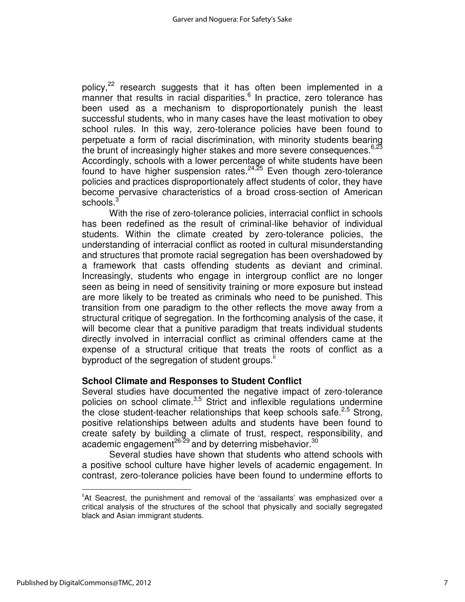policy,<sup>22</sup> research suggests that it has often been implemented in a manner that results in racial disparities.<sup>6</sup> In practice, zero tolerance has been used as a mechanism to disproportionately punish the least successful students, who in many cases have the least motivation to obey school rules. In this way, zero-tolerance policies have been found to perpetuate a form of racial discrimination, with minority students bearing the brunt of increasingly higher stakes and more severe consequences.  $6,23$ Accordingly, schools with a lower percentage of white students have been found to have higher suspension rates.<sup>24,25</sup> Even though zero-tolerance policies and practices disproportionately affect students of color, they have become pervasive characteristics of a broad cross-section of American schools. $3$ 

With the rise of zero-tolerance policies, interracial conflict in schools has been redefined as the result of criminal-like behavior of individual students. Within the climate created by zero-tolerance policies, the understanding of interracial conflict as rooted in cultural misunderstanding and structures that promote racial segregation has been overshadowed by a framework that casts offending students as deviant and criminal. Increasingly, students who engage in intergroup conflict are no longer seen as being in need of sensitivity training or more exposure but instead are more likely to be treated as criminals who need to be punished. This transition from one paradigm to the other reflects the move away from a structural critique of segregation. In the forthcoming analysis of the case, it will become clear that a punitive paradigm that treats individual students directly involved in interracial conflict as criminal offenders came at the expense of a structural critique that treats the roots of conflict as a byproduct of the segregation of student groups.<sup>ii</sup>

## **School Climate and Responses to Student Conflict**

Several studies have documented the negative impact of zero-tolerance policies on school climate. $3,5$  Strict and inflexible regulations undermine the close student-teacher relationships that keep schools safe.<sup>2,5</sup> Strong, positive relationships between adults and students have been found to create safety by building a climate of trust, respect, responsibility, and academic engagement<sup>26-29</sup> and by deterring misbehavior.<sup>30</sup>

Several studies have shown that students who attend schools with a positive school culture have higher levels of academic engagement. In contrast, zero-tolerance policies have been found to undermine efforts to

l

<sup>&</sup>quot;At Seacrest, the punishment and removal of the 'assailants' was emphasized over a critical analysis of the structures of the school that physically and socially segregated black and Asian immigrant students.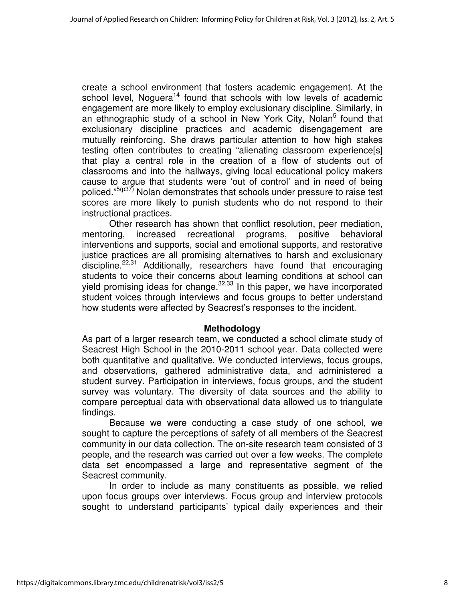create a school environment that fosters academic engagement. At the school level, Noguera<sup>14</sup> found that schools with low levels of academic engagement are more likely to employ exclusionary discipline. Similarly, in an ethnographic study of a school in New York City, Nolan<sup>5</sup> found that exclusionary discipline practices and academic disengagement are mutually reinforcing. She draws particular attention to how high stakes testing often contributes to creating "alienating classroom experience[s] that play a central role in the creation of a flow of students out of classrooms and into the hallways, giving local educational policy makers cause to argue that students were 'out of control' and in need of being policed."<sup>5(p37)</sup> Nolan demonstrates that schools under pressure to raise test scores are more likely to punish students who do not respond to their instructional practices.

Other research has shown that conflict resolution, peer mediation, mentoring, increased recreational programs, positive behavioral interventions and supports, social and emotional supports, and restorative justice practices are all promising alternatives to harsh and exclusionary discipline.<sup>22,31</sup> Additionally, researchers have found that encouraging students to voice their concerns about learning conditions at school can yield promising ideas for change. $32,33$  In this paper, we have incorporated student voices through interviews and focus groups to better understand how students were affected by Seacrest's responses to the incident.

#### **Methodology**

As part of a larger research team, we conducted a school climate study of Seacrest High School in the 2010-2011 school year. Data collected were both quantitative and qualitative. We conducted interviews, focus groups, and observations, gathered administrative data, and administered a student survey. Participation in interviews, focus groups, and the student survey was voluntary. The diversity of data sources and the ability to compare perceptual data with observational data allowed us to triangulate findings.

Because we were conducting a case study of one school, we sought to capture the perceptions of safety of all members of the Seacrest community in our data collection. The on-site research team consisted of 3 people, and the research was carried out over a few weeks. The complete data set encompassed a large and representative segment of the Seacrest community.

In order to include as many constituents as possible, we relied upon focus groups over interviews. Focus group and interview protocols sought to understand participants' typical daily experiences and their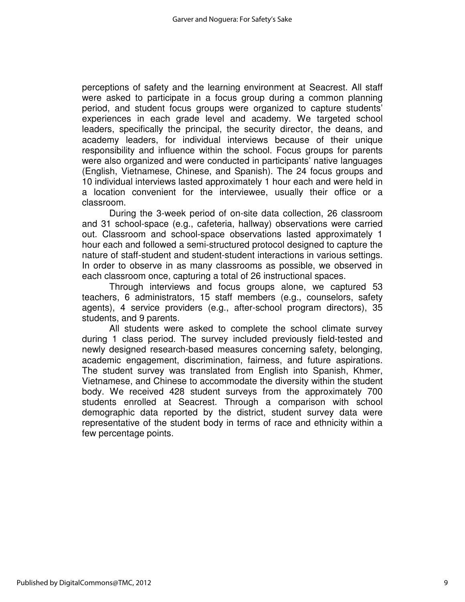perceptions of safety and the learning environment at Seacrest. All staff were asked to participate in a focus group during a common planning period, and student focus groups were organized to capture students' experiences in each grade level and academy. We targeted school leaders, specifically the principal, the security director, the deans, and academy leaders, for individual interviews because of their unique responsibility and influence within the school. Focus groups for parents were also organized and were conducted in participants' native languages (English, Vietnamese, Chinese, and Spanish). The 24 focus groups and 10 individual interviews lasted approximately 1 hour each and were held in a location convenient for the interviewee, usually their office or a classroom.

During the 3-week period of on-site data collection, 26 classroom and 31 school-space (e.g., cafeteria, hallway) observations were carried out. Classroom and school-space observations lasted approximately 1 hour each and followed a semi-structured protocol designed to capture the nature of staff-student and student-student interactions in various settings. In order to observe in as many classrooms as possible, we observed in each classroom once, capturing a total of 26 instructional spaces.

Through interviews and focus groups alone, we captured 53 teachers, 6 administrators, 15 staff members (e.g., counselors, safety agents), 4 service providers (e.g., after-school program directors), 35 students, and 9 parents.

All students were asked to complete the school climate survey during 1 class period. The survey included previously field-tested and newly designed research-based measures concerning safety, belonging, academic engagement, discrimination, fairness, and future aspirations. The student survey was translated from English into Spanish, Khmer, Vietnamese, and Chinese to accommodate the diversity within the student body. We received 428 student surveys from the approximately 700 students enrolled at Seacrest. Through a comparison with school demographic data reported by the district, student survey data were representative of the student body in terms of race and ethnicity within a few percentage points.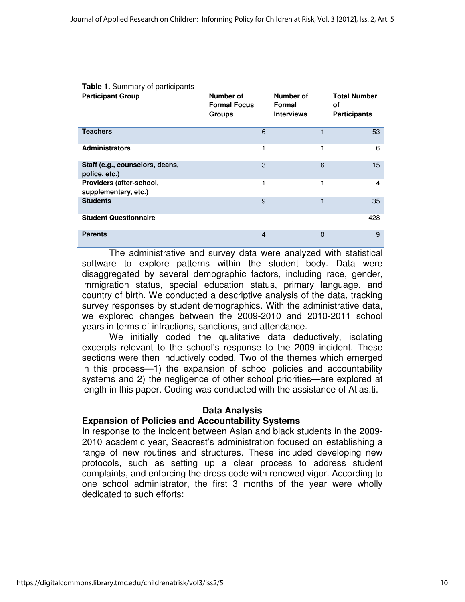| <b>Table 1. Summary of participants</b>          |                                                   |                                          |                                                  |
|--------------------------------------------------|---------------------------------------------------|------------------------------------------|--------------------------------------------------|
| <b>Participant Group</b>                         | Number of<br><b>Formal Focus</b><br><b>Groups</b> | Number of<br>Formal<br><b>Interviews</b> | <b>Total Number</b><br>οf<br><b>Participants</b> |
| <b>Teachers</b>                                  | 6                                                 | 1                                        | 53                                               |
| <b>Administrators</b>                            | 1                                                 | 1                                        | 6                                                |
| Staff (e.g., counselors, deans,<br>police, etc.) | 3                                                 | 6                                        | 15                                               |
| Providers (after-school,<br>supplementary, etc.) | 1                                                 | 1                                        | 4                                                |
| <b>Students</b>                                  | 9                                                 | 1                                        | 35                                               |
| <b>Student Questionnaire</b>                     |                                                   |                                          | 428                                              |
| <b>Parents</b>                                   | 4                                                 | 0                                        | 9                                                |

The administrative and survey data were analyzed with statistical software to explore patterns within the student body. Data were disaggregated by several demographic factors, including race, gender, immigration status, special education status, primary language, and country of birth. We conducted a descriptive analysis of the data, tracking survey responses by student demographics. With the administrative data, we explored changes between the 2009-2010 and 2010-2011 school years in terms of infractions, sanctions, and attendance.

We initially coded the qualitative data deductively, isolating excerpts relevant to the school's response to the 2009 incident. These sections were then inductively coded. Two of the themes which emerged in this process—1) the expansion of school policies and accountability systems and 2) the negligence of other school priorities—are explored at length in this paper. Coding was conducted with the assistance of Atlas.ti.

## **Data Analysis**

#### **Expansion of Policies and Accountability Systems**

In response to the incident between Asian and black students in the 2009- 2010 academic year, Seacrest's administration focused on establishing a range of new routines and structures. These included developing new protocols, such as setting up a clear process to address student complaints, and enforcing the dress code with renewed vigor. According to one school administrator, the first 3 months of the year were wholly dedicated to such efforts: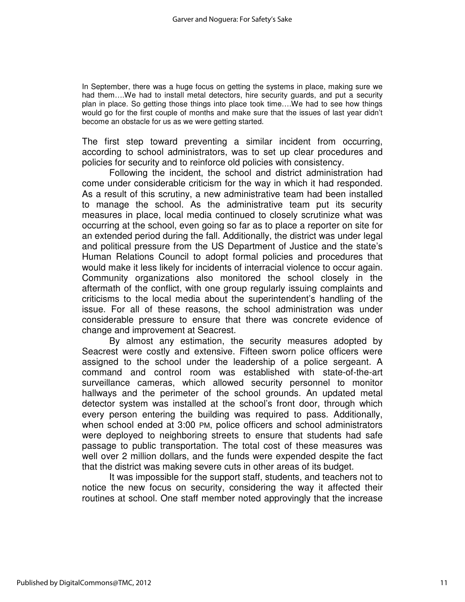In September, there was a huge focus on getting the systems in place, making sure we had them….We had to install metal detectors, hire security guards, and put a security plan in place. So getting those things into place took time….We had to see how things would go for the first couple of months and make sure that the issues of last year didn't become an obstacle for us as we were getting started.

The first step toward preventing a similar incident from occurring, according to school administrators, was to set up clear procedures and policies for security and to reinforce old policies with consistency.

Following the incident, the school and district administration had come under considerable criticism for the way in which it had responded. As a result of this scrutiny, a new administrative team had been installed to manage the school. As the administrative team put its security measures in place, local media continued to closely scrutinize what was occurring at the school, even going so far as to place a reporter on site for an extended period during the fall. Additionally, the district was under legal and political pressure from the US Department of Justice and the state's Human Relations Council to adopt formal policies and procedures that would make it less likely for incidents of interracial violence to occur again. Community organizations also monitored the school closely in the aftermath of the conflict, with one group regularly issuing complaints and criticisms to the local media about the superintendent's handling of the issue. For all of these reasons, the school administration was under considerable pressure to ensure that there was concrete evidence of change and improvement at Seacrest.

 By almost any estimation, the security measures adopted by Seacrest were costly and extensive. Fifteen sworn police officers were assigned to the school under the leadership of a police sergeant. A command and control room was established with state-of-the-art surveillance cameras, which allowed security personnel to monitor hallways and the perimeter of the school grounds. An updated metal detector system was installed at the school's front door, through which every person entering the building was required to pass. Additionally, when school ended at 3:00 PM, police officers and school administrators were deployed to neighboring streets to ensure that students had safe passage to public transportation. The total cost of these measures was well over 2 million dollars, and the funds were expended despite the fact that the district was making severe cuts in other areas of its budget.

It was impossible for the support staff, students, and teachers not to notice the new focus on security, considering the way it affected their routines at school. One staff member noted approvingly that the increase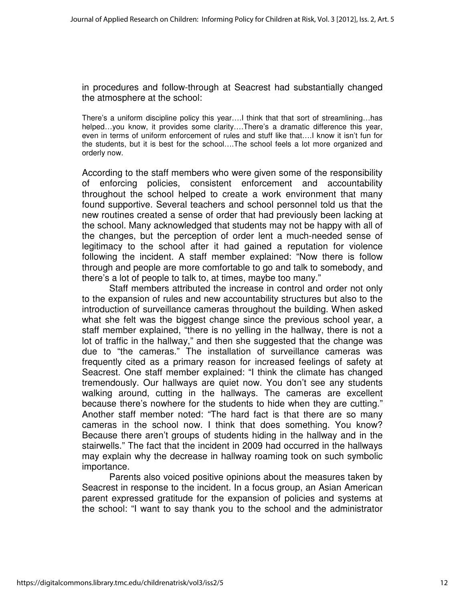in procedures and follow-through at Seacrest had substantially changed the atmosphere at the school:

There's a uniform discipline policy this year….I think that that sort of streamlining…has helped...you know, it provides some clarity....There's a dramatic difference this year, even in terms of uniform enforcement of rules and stuff like that….I know it isn't fun for the students, but it is best for the school….The school feels a lot more organized and orderly now.

According to the staff members who were given some of the responsibility of enforcing policies, consistent enforcement and accountability throughout the school helped to create a work environment that many found supportive. Several teachers and school personnel told us that the new routines created a sense of order that had previously been lacking at the school. Many acknowledged that students may not be happy with all of the changes, but the perception of order lent a much-needed sense of legitimacy to the school after it had gained a reputation for violence following the incident. A staff member explained: "Now there is follow through and people are more comfortable to go and talk to somebody, and there's a lot of people to talk to, at times, maybe too many."

Staff members attributed the increase in control and order not only to the expansion of rules and new accountability structures but also to the introduction of surveillance cameras throughout the building. When asked what she felt was the biggest change since the previous school year, a staff member explained, "there is no yelling in the hallway, there is not a lot of traffic in the hallway," and then she suggested that the change was due to "the cameras." The installation of surveillance cameras was frequently cited as a primary reason for increased feelings of safety at Seacrest. One staff member explained: "I think the climate has changed tremendously. Our hallways are quiet now. You don't see any students walking around, cutting in the hallways. The cameras are excellent because there's nowhere for the students to hide when they are cutting." Another staff member noted: "The hard fact is that there are so many cameras in the school now. I think that does something. You know? Because there aren't groups of students hiding in the hallway and in the stairwells." The fact that the incident in 2009 had occurred in the hallways may explain why the decrease in hallway roaming took on such symbolic importance.

Parents also voiced positive opinions about the measures taken by Seacrest in response to the incident. In a focus group, an Asian American parent expressed gratitude for the expansion of policies and systems at the school: "I want to say thank you to the school and the administrator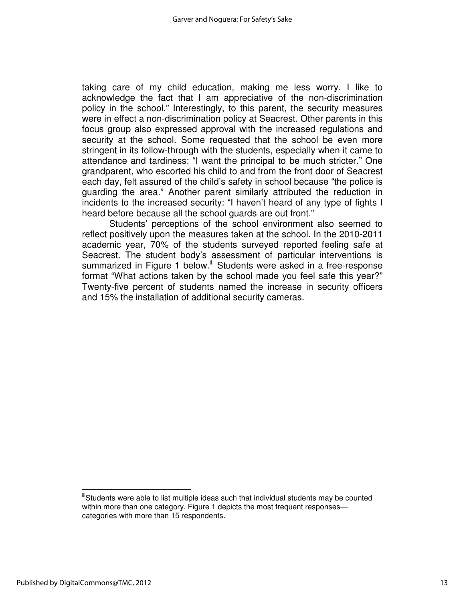taking care of my child education, making me less worry. I like to acknowledge the fact that I am appreciative of the non-discrimination policy in the school." Interestingly, to this parent, the security measures were in effect a non-discrimination policy at Seacrest. Other parents in this focus group also expressed approval with the increased regulations and security at the school. Some requested that the school be even more stringent in its follow-through with the students, especially when it came to attendance and tardiness: "I want the principal to be much stricter." One grandparent, who escorted his child to and from the front door of Seacrest each day, felt assured of the child's safety in school because "the police is guarding the area." Another parent similarly attributed the reduction in incidents to the increased security: "I haven't heard of any type of fights I heard before because all the school guards are out front."

Students' perceptions of the school environment also seemed to reflect positively upon the measures taken at the school. In the 2010-2011 academic year, 70% of the students surveyed reported feeling safe at Seacrest. The student body's assessment of particular interventions is summarized in Figure 1 below.<sup>iii</sup> Students were asked in a free-response format "What actions taken by the school made you feel safe this year?" Twenty-five percent of students named the increase in security officers and 15% the installation of additional security cameras.

 $\overline{a}$ 

<sup>&</sup>quot;Students were able to list multiple ideas such that individual students may be counted within more than one category. Figure 1 depicts the most frequent responses categories with more than 15 respondents.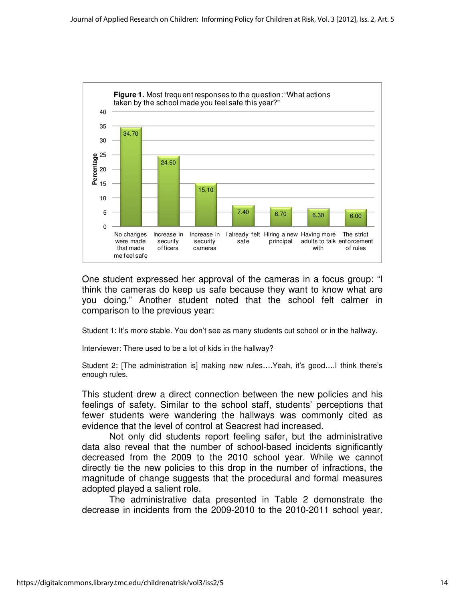

One student expressed her approval of the cameras in a focus group: "I think the cameras do keep us safe because they want to know what are you doing." Another student noted that the school felt calmer in comparison to the previous year:

Student 1: It's more stable. You don't see as many students cut school or in the hallway.

Interviewer: There used to be a lot of kids in the hallway?

Student 2: [The administration is] making new rules….Yeah, it's good….I think there's enough rules.

This student drew a direct connection between the new policies and his feelings of safety. Similar to the school staff, students' perceptions that fewer students were wandering the hallways was commonly cited as evidence that the level of control at Seacrest had increased.

Not only did students report feeling safer, but the administrative data also reveal that the number of school-based incidents significantly decreased from the 2009 to the 2010 school year. While we cannot directly tie the new policies to this drop in the number of infractions, the magnitude of change suggests that the procedural and formal measures adopted played a salient role.

The administrative data presented in Table 2 demonstrate the decrease in incidents from the 2009-2010 to the 2010-2011 school year.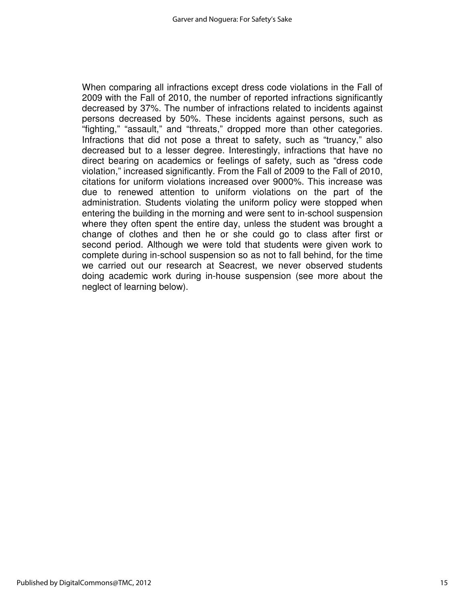When comparing all infractions except dress code violations in the Fall of 2009 with the Fall of 2010, the number of reported infractions significantly decreased by 37%. The number of infractions related to incidents against persons decreased by 50%. These incidents against persons, such as "fighting," "assault," and "threats," dropped more than other categories. Infractions that did not pose a threat to safety, such as "truancy," also decreased but to a lesser degree. Interestingly, infractions that have no direct bearing on academics or feelings of safety, such as "dress code violation," increased significantly. From the Fall of 2009 to the Fall of 2010, citations for uniform violations increased over 9000%. This increase was due to renewed attention to uniform violations on the part of the administration. Students violating the uniform policy were stopped when entering the building in the morning and were sent to in-school suspension where they often spent the entire day, unless the student was brought a change of clothes and then he or she could go to class after first or second period. Although we were told that students were given work to complete during in-school suspension so as not to fall behind, for the time we carried out our research at Seacrest, we never observed students doing academic work during in-house suspension (see more about the neglect of learning below).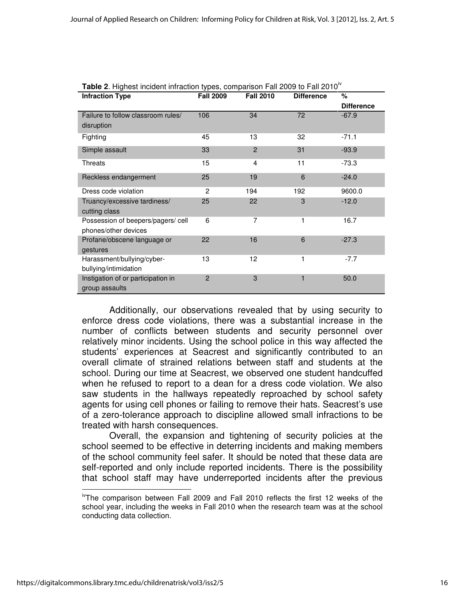| <b>Infraction Type</b>                               | <b>Fall 2009</b> | <b>Fall 2010</b> | <b>Difference</b> | %                 |
|------------------------------------------------------|------------------|------------------|-------------------|-------------------|
|                                                      |                  |                  |                   | <b>Difference</b> |
| Failure to follow classroom rules/                   | 106              | 34               | 72                | $-67.9$           |
| disruption                                           |                  |                  |                   |                   |
| Fighting                                             | 45               | 13               | 32                | $-71.1$           |
| Simple assault                                       | 33               | $\overline{2}$   | 31                | $-93.9$           |
| Threats                                              | 15               | $\overline{4}$   | 11                | $-73.3$           |
| Reckless endangerment                                | 25               | 19               | 6                 | $-24.0$           |
| Dress code violation                                 | $\overline{2}$   | 194              | 192               | 9600.0            |
| Truancy/excessive tardiness/<br>cutting class        | 25               | 22               | 3                 | $-12.0$           |
| Possession of beepers/pagers/ cell                   | 6                | 7                | 1                 | 16.7              |
| phones/other devices                                 |                  |                  |                   |                   |
| Profane/obscene language or                          | 22               | 16               | 6                 | $-27.3$           |
| gestures                                             |                  |                  |                   |                   |
| Harassment/bullying/cyber-                           | 13               | 12               | 1                 | $-7.7$            |
| bullying/intimidation                                |                  |                  |                   |                   |
| Instigation of or participation in<br>group assaults | $\overline{2}$   | 3                | 1                 | 50.0              |

|  |  |  | Table 2. Highest incident infraction types, comparison Fall 2009 to Fall 2010 <sup>°</sup> |
|--|--|--|--------------------------------------------------------------------------------------------|
|  |  |  |                                                                                            |
|  |  |  |                                                                                            |

Additionally, our observations revealed that by using security to enforce dress code violations, there was a substantial increase in the number of conflicts between students and security personnel over relatively minor incidents. Using the school police in this way affected the students' experiences at Seacrest and significantly contributed to an overall climate of strained relations between staff and students at the school. During our time at Seacrest, we observed one student handcuffed when he refused to report to a dean for a dress code violation. We also saw students in the hallways repeatedly reproached by school safety agents for using cell phones or failing to remove their hats. Seacrest's use of a zero-tolerance approach to discipline allowed small infractions to be treated with harsh consequences.

Overall, the expansion and tightening of security policies at the school seemed to be effective in deterring incidents and making members of the school community feel safer. It should be noted that these data are self-reported and only include reported incidents. There is the possibility that school staff may have underreported incidents after the previous l

ivThe comparison between Fall 2009 and Fall 2010 reflects the first 12 weeks of the school year, including the weeks in Fall 2010 when the research team was at the school conducting data collection.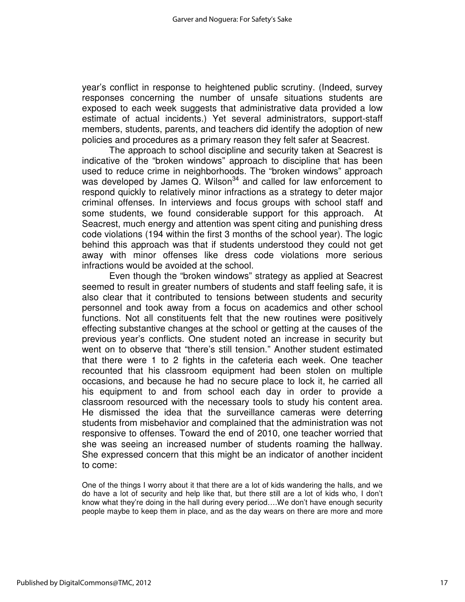year's conflict in response to heightened public scrutiny. (Indeed, survey responses concerning the number of unsafe situations students are exposed to each week suggests that administrative data provided a low estimate of actual incidents.) Yet several administrators, support-staff members, students, parents, and teachers did identify the adoption of new policies and procedures as a primary reason they felt safer at Seacrest.

The approach to school discipline and security taken at Seacrest is indicative of the "broken windows" approach to discipline that has been used to reduce crime in neighborhoods. The "broken windows" approach was developed by James  $\ddot{Q}$ . Wilson<sup>34</sup> and called for law enforcement to respond quickly to relatively minor infractions as a strategy to deter major criminal offenses. In interviews and focus groups with school staff and some students, we found considerable support for this approach. At Seacrest, much energy and attention was spent citing and punishing dress code violations (194 within the first 3 months of the school year). The logic behind this approach was that if students understood they could not get away with minor offenses like dress code violations more serious infractions would be avoided at the school.

Even though the "broken windows" strategy as applied at Seacrest seemed to result in greater numbers of students and staff feeling safe, it is also clear that it contributed to tensions between students and security personnel and took away from a focus on academics and other school functions. Not all constituents felt that the new routines were positively effecting substantive changes at the school or getting at the causes of the previous year's conflicts. One student noted an increase in security but went on to observe that "there's still tension." Another student estimated that there were 1 to 2 fights in the cafeteria each week. One teacher recounted that his classroom equipment had been stolen on multiple occasions, and because he had no secure place to lock it, he carried all his equipment to and from school each day in order to provide a classroom resourced with the necessary tools to study his content area. He dismissed the idea that the surveillance cameras were deterring students from misbehavior and complained that the administration was not responsive to offenses. Toward the end of 2010, one teacher worried that she was seeing an increased number of students roaming the hallway. She expressed concern that this might be an indicator of another incident to come:

One of the things I worry about it that there are a lot of kids wandering the halls, and we do have a lot of security and help like that, but there still are a lot of kids who, I don't know what they're doing in the hall during every period….We don't have enough security people maybe to keep them in place, and as the day wears on there are more and more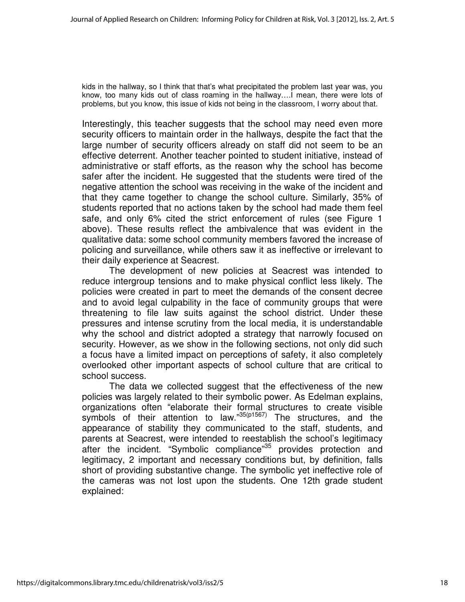kids in the hallway, so I think that that's what precipitated the problem last year was, you know, too many kids out of class roaming in the hallway….I mean, there were lots of problems, but you know, this issue of kids not being in the classroom, I worry about that.

Interestingly, this teacher suggests that the school may need even more security officers to maintain order in the hallways, despite the fact that the large number of security officers already on staff did not seem to be an effective deterrent. Another teacher pointed to student initiative, instead of administrative or staff efforts, as the reason why the school has become safer after the incident. He suggested that the students were tired of the negative attention the school was receiving in the wake of the incident and that they came together to change the school culture. Similarly, 35% of students reported that no actions taken by the school had made them feel safe, and only 6% cited the strict enforcement of rules (see Figure 1 above). These results reflect the ambivalence that was evident in the qualitative data: some school community members favored the increase of policing and surveillance, while others saw it as ineffective or irrelevant to their daily experience at Seacrest.

The development of new policies at Seacrest was intended to reduce intergroup tensions and to make physical conflict less likely. The policies were created in part to meet the demands of the consent decree and to avoid legal culpability in the face of community groups that were threatening to file law suits against the school district. Under these pressures and intense scrutiny from the local media, it is understandable why the school and district adopted a strategy that narrowly focused on security. However, as we show in the following sections, not only did such a focus have a limited impact on perceptions of safety, it also completely overlooked other important aspects of school culture that are critical to school success.

The data we collected suggest that the effectiveness of the new policies was largely related to their symbolic power. As Edelman explains, organizations often "elaborate their formal structures to create visible symbols of their attention to law."35(p1567) The structures, and the appearance of stability they communicated to the staff, students, and parents at Seacrest, were intended to reestablish the school's legitimacy after the incident. "Symbolic compliance"<sup>35</sup> provides protection and legitimacy, 2 important and necessary conditions but, by definition, falls short of providing substantive change. The symbolic yet ineffective role of the cameras was not lost upon the students. One 12th grade student explained: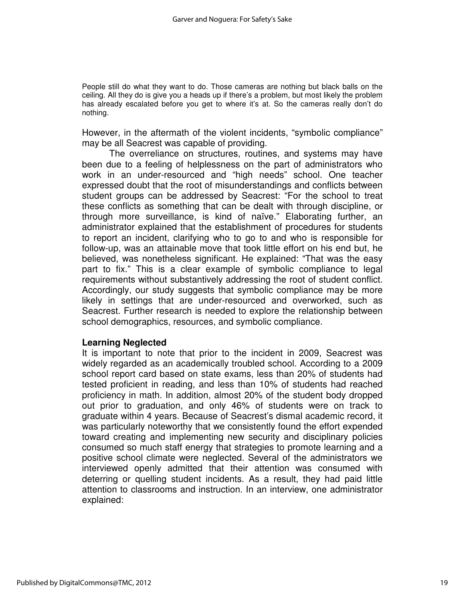People still do what they want to do. Those cameras are nothing but black balls on the ceiling. All they do is give you a heads up if there's a problem, but most likely the problem has already escalated before you get to where it's at. So the cameras really don't do nothing.

However, in the aftermath of the violent incidents, "symbolic compliance" may be all Seacrest was capable of providing.

The overreliance on structures, routines, and systems may have been due to a feeling of helplessness on the part of administrators who work in an under-resourced and "high needs" school. One teacher expressed doubt that the root of misunderstandings and conflicts between student groups can be addressed by Seacrest: "For the school to treat these conflicts as something that can be dealt with through discipline, or through more surveillance, is kind of naïve." Elaborating further, an administrator explained that the establishment of procedures for students to report an incident, clarifying who to go to and who is responsible for follow-up, was an attainable move that took little effort on his end but, he believed, was nonetheless significant. He explained: "That was the easy part to fix." This is a clear example of symbolic compliance to legal requirements without substantively addressing the root of student conflict. Accordingly, our study suggests that symbolic compliance may be more likely in settings that are under-resourced and overworked, such as Seacrest. Further research is needed to explore the relationship between school demographics, resources, and symbolic compliance.

#### **Learning Neglected**

It is important to note that prior to the incident in 2009, Seacrest was widely regarded as an academically troubled school. According to a 2009 school report card based on state exams, less than 20% of students had tested proficient in reading, and less than 10% of students had reached proficiency in math. In addition, almost 20% of the student body dropped out prior to graduation, and only 46% of students were on track to graduate within 4 years. Because of Seacrest's dismal academic record, it was particularly noteworthy that we consistently found the effort expended toward creating and implementing new security and disciplinary policies consumed so much staff energy that strategies to promote learning and a positive school climate were neglected. Several of the administrators we interviewed openly admitted that their attention was consumed with deterring or quelling student incidents. As a result, they had paid little attention to classrooms and instruction. In an interview, one administrator explained: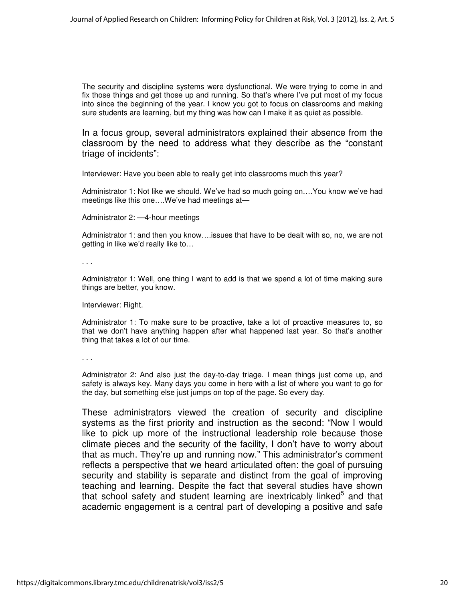The security and discipline systems were dysfunctional. We were trying to come in and fix those things and get those up and running. So that's where I've put most of my focus into since the beginning of the year. I know you got to focus on classrooms and making sure students are learning, but my thing was how can I make it as quiet as possible.

In a focus group, several administrators explained their absence from the classroom by the need to address what they describe as the "constant triage of incidents":

Interviewer: Have you been able to really get into classrooms much this year?

Administrator 1: Not like we should. We've had so much going on….You know we've had meetings like this one….We've had meetings at—

Administrator 2: —4-hour meetings

Administrator 1: and then you know….issues that have to be dealt with so, no, we are not getting in like we'd really like to…

. . .

Administrator 1: Well, one thing I want to add is that we spend a lot of time making sure things are better, you know.

Interviewer: Right.

Administrator 1: To make sure to be proactive, take a lot of proactive measures to, so that we don't have anything happen after what happened last year. So that's another thing that takes a lot of our time.

. . .

Administrator 2: And also just the day-to-day triage. I mean things just come up, and safety is always key. Many days you come in here with a list of where you want to go for the day, but something else just jumps on top of the page. So every day.

These administrators viewed the creation of security and discipline systems as the first priority and instruction as the second: "Now I would like to pick up more of the instructional leadership role because those climate pieces and the security of the facility, I don't have to worry about that as much. They're up and running now." This administrator's comment reflects a perspective that we heard articulated often: the goal of pursuing security and stability is separate and distinct from the goal of improving teaching and learning. Despite the fact that several studies have shown that school safety and student learning are inextricably linked $5$  and that academic engagement is a central part of developing a positive and safe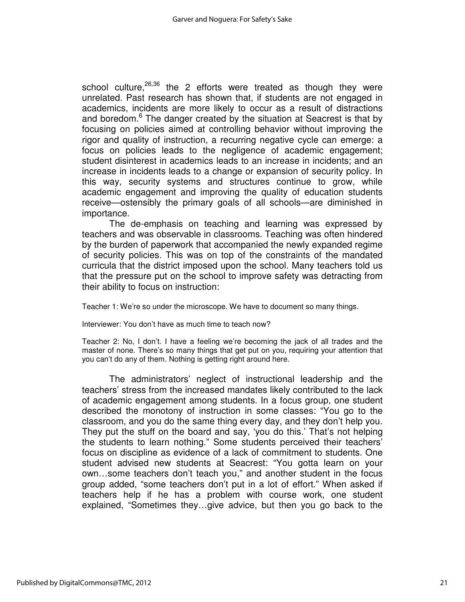school culture,  $26,36$  the 2 efforts were treated as though they were unrelated. Past research has shown that, if students are not engaged in academics, incidents are more likely to occur as a result of distractions and boredom.<sup>6</sup> The danger created by the situation at Seacrest is that by focusing on policies aimed at controlling behavior without improving the rigor and quality of instruction, a recurring negative cycle can emerge: a focus on policies leads to the negligence of academic engagement; student disinterest in academics leads to an increase in incidents; and an increase in incidents leads to a change or expansion of security policy. In this way, security systems and structures continue to grow, while academic engagement and improving the quality of education students receive—ostensibly the primary goals of all schools—are diminished in importance.

 The de-emphasis on teaching and learning was expressed by teachers and was observable in classrooms. Teaching was often hindered by the burden of paperwork that accompanied the newly expanded regime of security policies. This was on top of the constraints of the mandated curricula that the district imposed upon the school. Many teachers told us that the pressure put on the school to improve safety was detracting from their ability to focus on instruction:

Teacher 1: We're so under the microscope. We have to document so many things.

Interviewer: You don't have as much time to teach now?

Teacher 2: No, I don't. I have a feeling we're becoming the jack of all trades and the master of none. There's so many things that get put on you, requiring your attention that you can't do any of them. Nothing is getting right around here.

The administrators' neglect of instructional leadership and the teachers' stress from the increased mandates likely contributed to the lack of academic engagement among students. In a focus group, one student described the monotony of instruction in some classes: "You go to the classroom, and you do the same thing every day, and they don't help you. They put the stuff on the board and say, 'you do this.' That's not helping the students to learn nothing." Some students perceived their teachers' focus on discipline as evidence of a lack of commitment to students. One student advised new students at Seacrest: "You gotta learn on your own…some teachers don't teach you," and another student in the focus group added, "some teachers don't put in a lot of effort." When asked if teachers help if he has a problem with course work, one student explained, "Sometimes they…give advice, but then you go back to the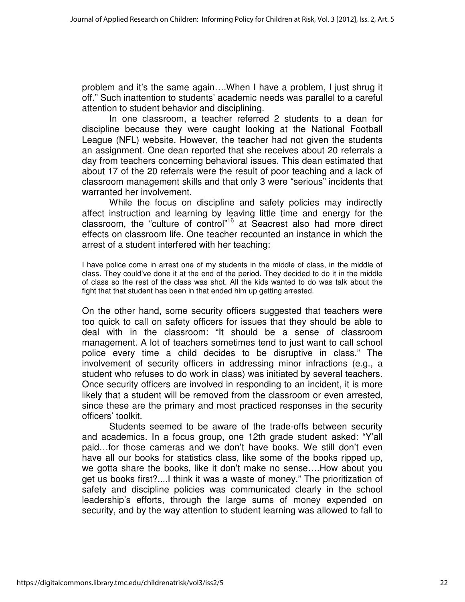problem and it's the same again….When I have a problem, I just shrug it off." Such inattention to students' academic needs was parallel to a careful attention to student behavior and disciplining.

In one classroom, a teacher referred 2 students to a dean for discipline because they were caught looking at the National Football League (NFL) website. However, the teacher had not given the students an assignment. One dean reported that she receives about 20 referrals a day from teachers concerning behavioral issues. This dean estimated that about 17 of the 20 referrals were the result of poor teaching and a lack of classroom management skills and that only 3 were "serious" incidents that warranted her involvement.

While the focus on discipline and safety policies may indirectly affect instruction and learning by leaving little time and energy for the classroom, the "culture of control"<sup>16</sup> at Seacrest also had more direct effects on classroom life. One teacher recounted an instance in which the arrest of a student interfered with her teaching:

I have police come in arrest one of my students in the middle of class, in the middle of class. They could've done it at the end of the period. They decided to do it in the middle of class so the rest of the class was shot. All the kids wanted to do was talk about the fight that that student has been in that ended him up getting arrested.

On the other hand, some security officers suggested that teachers were too quick to call on safety officers for issues that they should be able to deal with in the classroom: "It should be a sense of classroom management. A lot of teachers sometimes tend to just want to call school police every time a child decides to be disruptive in class." The involvement of security officers in addressing minor infractions (e.g., a student who refuses to do work in class) was initiated by several teachers. Once security officers are involved in responding to an incident, it is more likely that a student will be removed from the classroom or even arrested, since these are the primary and most practiced responses in the security officers' toolkit.

Students seemed to be aware of the trade-offs between security and academics. In a focus group, one 12th grade student asked: "Y'all paid…for those cameras and we don't have books. We still don't even have all our books for statistics class, like some of the books ripped up, we gotta share the books, like it don't make no sense….How about you get us books first?....I think it was a waste of money." The prioritization of safety and discipline policies was communicated clearly in the school leadership's efforts, through the large sums of money expended on security, and by the way attention to student learning was allowed to fall to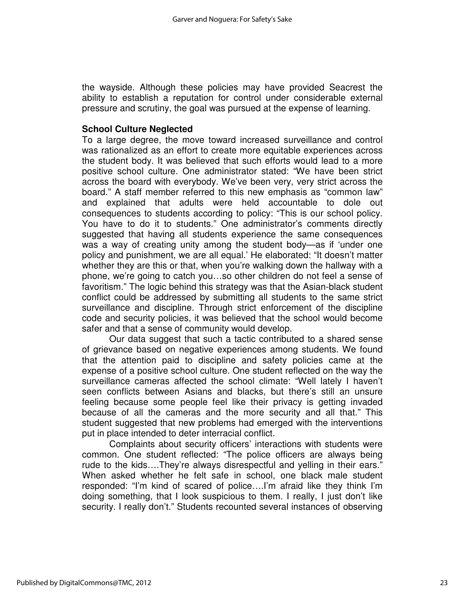the wayside. Although these policies may have provided Seacrest the ability to establish a reputation for control under considerable external pressure and scrutiny, the goal was pursued at the expense of learning.

## **School Culture Neglected**

To a large degree, the move toward increased surveillance and control was rationalized as an effort to create more equitable experiences across the student body. It was believed that such efforts would lead to a more positive school culture. One administrator stated: "We have been strict across the board with everybody. We've been very, very strict across the board." A staff member referred to this new emphasis as "common law" and explained that adults were held accountable to dole out consequences to students according to policy: "This is our school policy. You have to do it to students." One administrator's comments directly suggested that having all students experience the same consequences was a way of creating unity among the student body—as if 'under one policy and punishment, we are all equal.' He elaborated: "It doesn't matter whether they are this or that, when you're walking down the hallway with a phone, we're going to catch you…so other children do not feel a sense of favoritism." The logic behind this strategy was that the Asian-black student conflict could be addressed by submitting all students to the same strict surveillance and discipline. Through strict enforcement of the discipline code and security policies, it was believed that the school would become safer and that a sense of community would develop.

Our data suggest that such a tactic contributed to a shared sense of grievance based on negative experiences among students. We found that the attention paid to discipline and safety policies came at the expense of a positive school culture. One student reflected on the way the surveillance cameras affected the school climate: "Well lately I haven't seen conflicts between Asians and blacks, but there's still an unsure feeling because some people feel like their privacy is getting invaded because of all the cameras and the more security and all that." This student suggested that new problems had emerged with the interventions put in place intended to deter interracial conflict.

Complaints about security officers' interactions with students were common. One student reflected: "The police officers are always being rude to the kids….They're always disrespectful and yelling in their ears." When asked whether he felt safe in school, one black male student responded: "I'm kind of scared of police….I'm afraid like they think I'm doing something, that I look suspicious to them. I really, I just don't like security. I really don't." Students recounted several instances of observing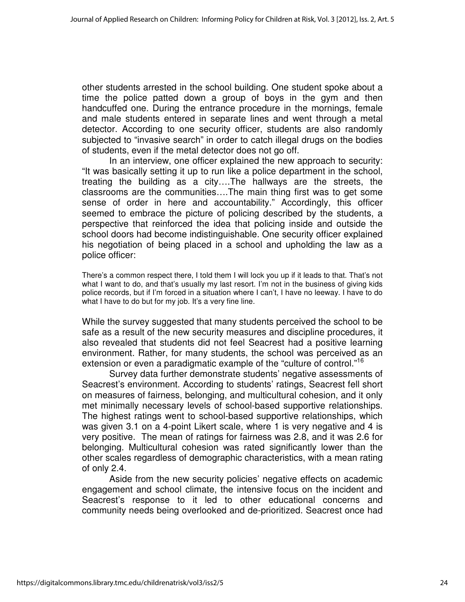other students arrested in the school building. One student spoke about a time the police patted down a group of boys in the gym and then handcuffed one. During the entrance procedure in the mornings, female and male students entered in separate lines and went through a metal detector. According to one security officer, students are also randomly subjected to "invasive search" in order to catch illegal drugs on the bodies of students, even if the metal detector does not go off.

In an interview, one officer explained the new approach to security: "It was basically setting it up to run like a police department in the school, treating the building as a city….The hallways are the streets, the classrooms are the communities….The main thing first was to get some sense of order in here and accountability." Accordingly, this officer seemed to embrace the picture of policing described by the students, a perspective that reinforced the idea that policing inside and outside the school doors had become indistinguishable. One security officer explained his negotiation of being placed in a school and upholding the law as a police officer:

There's a common respect there, I told them I will lock you up if it leads to that. That's not what I want to do, and that's usually my last resort. I'm not in the business of giving kids police records, but if I'm forced in a situation where I can't, I have no leeway. I have to do what I have to do but for my job. It's a very fine line.

While the survey suggested that many students perceived the school to be safe as a result of the new security measures and discipline procedures, it also revealed that students did not feel Seacrest had a positive learning environment. Rather, for many students, the school was perceived as an extension or even a paradigmatic example of the "culture of control."<sup>16</sup>

Survey data further demonstrate students' negative assessments of Seacrest's environment. According to students' ratings, Seacrest fell short on measures of fairness, belonging, and multicultural cohesion, and it only met minimally necessary levels of school-based supportive relationships. The highest ratings went to school-based supportive relationships, which was given 3.1 on a 4-point Likert scale, where 1 is very negative and 4 is very positive. The mean of ratings for fairness was 2.8, and it was 2.6 for belonging. Multicultural cohesion was rated significantly lower than the other scales regardless of demographic characteristics, with a mean rating of only 2.4.

Aside from the new security policies' negative effects on academic engagement and school climate, the intensive focus on the incident and Seacrest's response to it led to other educational concerns and community needs being overlooked and de-prioritized. Seacrest once had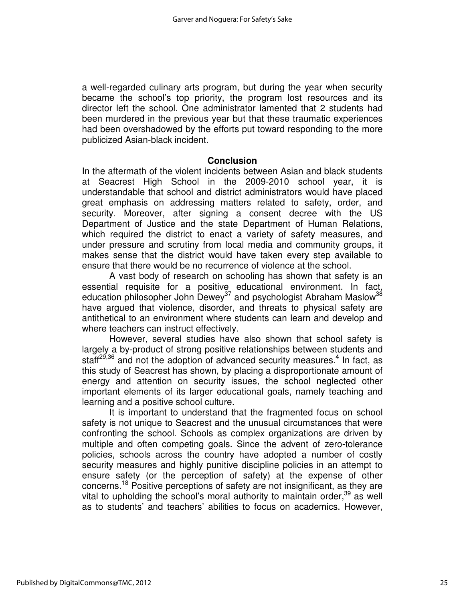a well-regarded culinary arts program, but during the year when security became the school's top priority, the program lost resources and its director left the school. One administrator lamented that 2 students had been murdered in the previous year but that these traumatic experiences had been overshadowed by the efforts put toward responding to the more publicized Asian-black incident.

### **Conclusion**

In the aftermath of the violent incidents between Asian and black students at Seacrest High School in the 2009-2010 school year, it is understandable that school and district administrators would have placed great emphasis on addressing matters related to safety, order, and security. Moreover, after signing a consent decree with the US Department of Justice and the state Department of Human Relations, which required the district to enact a variety of safety measures, and under pressure and scrutiny from local media and community groups, it makes sense that the district would have taken every step available to ensure that there would be no recurrence of violence at the school.

A vast body of research on schooling has shown that safety is an essential requisite for a positive educational environment. In fact, education philosopher John Dewey<sup>37</sup> and psychologist Abraham Maslow<sup>38</sup> have argued that violence, disorder, and threats to physical safety are antithetical to an environment where students can learn and develop and where teachers can instruct effectively.

However, several studies have also shown that school safety is largely a by-product of strong positive relationships between students and staff<sup>29,36</sup> and not the adoption of advanced security measures.<sup>4</sup> In fact, as this study of Seacrest has shown, by placing a disproportionate amount of energy and attention on security issues, the school neglected other important elements of its larger educational goals, namely teaching and learning and a positive school culture.

It is important to understand that the fragmented focus on school safety is not unique to Seacrest and the unusual circumstances that were confronting the school. Schools as complex organizations are driven by multiple and often competing goals. Since the advent of zero-tolerance policies, schools across the country have adopted a number of costly security measures and highly punitive discipline policies in an attempt to ensure safety (or the perception of safety) at the expense of other concerns.<sup>18</sup> Positive perceptions of safety are not insignificant, as they are vital to upholding the school's moral authority to maintain order,  $39$  as well as to students' and teachers' abilities to focus on academics. However,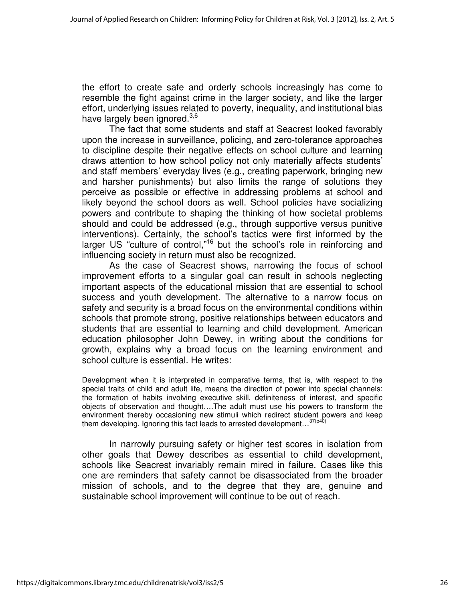the effort to create safe and orderly schools increasingly has come to resemble the fight against crime in the larger society, and like the larger effort, underlying issues related to poverty, inequality, and institutional bias have largely been ignored.<sup>3,6</sup>

The fact that some students and staff at Seacrest looked favorably upon the increase in surveillance, policing, and zero-tolerance approaches to discipline despite their negative effects on school culture and learning draws attention to how school policy not only materially affects students' and staff members' everyday lives (e.g., creating paperwork, bringing new and harsher punishments) but also limits the range of solutions they perceive as possible or effective in addressing problems at school and likely beyond the school doors as well. School policies have socializing powers and contribute to shaping the thinking of how societal problems should and could be addressed (e.g., through supportive versus punitive interventions). Certainly, the school's tactics were first informed by the larger US "culture of control,"<sup>16</sup> but the school's role in reinforcing and influencing society in return must also be recognized.

As the case of Seacrest shows, narrowing the focus of school improvement efforts to a singular goal can result in schools neglecting important aspects of the educational mission that are essential to school success and youth development. The alternative to a narrow focus on safety and security is a broad focus on the environmental conditions within schools that promote strong, positive relationships between educators and students that are essential to learning and child development. American education philosopher John Dewey, in writing about the conditions for growth, explains why a broad focus on the learning environment and school culture is essential. He writes:

Development when it is interpreted in comparative terms, that is, with respect to the special traits of child and adult life, means the direction of power into special channels: the formation of habits involving executive skill, definiteness of interest, and specific objects of observation and thought….The adult must use his powers to transform the environment thereby occasioning new stimuli which redirect student powers and keep them developing. Ignoring this fact leads to arrested development...<sup>37(p40)</sup>

In narrowly pursuing safety or higher test scores in isolation from other goals that Dewey describes as essential to child development, schools like Seacrest invariably remain mired in failure. Cases like this one are reminders that safety cannot be disassociated from the broader mission of schools, and to the degree that they are, genuine and sustainable school improvement will continue to be out of reach.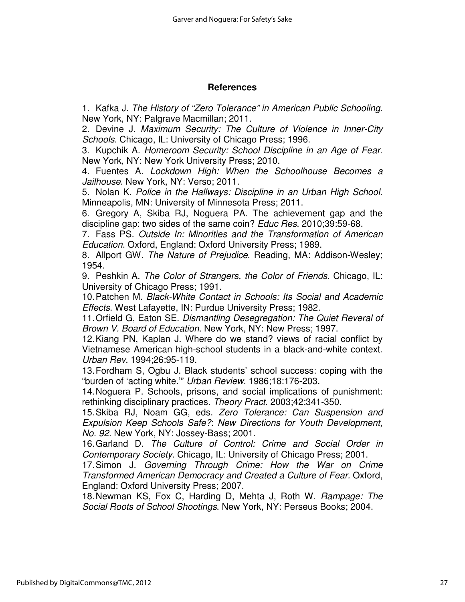## **References**

1. Kafka J. The History of "Zero Tolerance" in American Public Schooling. New York, NY: Palgrave Macmillan; 2011.

2. Devine J. Maximum Security: The Culture of Violence in Inner-City Schools. Chicago, IL: University of Chicago Press; 1996.

3. Kupchik A. Homeroom Security: School Discipline in an Age of Fear. New York, NY: New York University Press; 2010.

4. Fuentes A. Lockdown High: When the Schoolhouse Becomes a Jailhouse. New York, NY: Verso; 2011.

5. Nolan K. Police in the Hallways: Discipline in an Urban High School. Minneapolis, MN: University of Minnesota Press; 2011.

6. Gregory A, Skiba RJ, Noguera PA. The achievement gap and the discipline gap: two sides of the same coin? Educ Res. 2010;39:59-68.

7. Fass PS. Outside In: Minorities and the Transformation of American Education. Oxford, England: Oxford University Press; 1989.

8. Allport GW. The Nature of Prejudice. Reading, MA: Addison-Wesley; 1954.

9. Peshkin A. The Color of Strangers, the Color of Friends. Chicago, IL: University of Chicago Press; 1991.

10. Patchen M. Black-White Contact in Schools: Its Social and Academic Effects. West Lafayette, IN: Purdue University Press; 1982.

11. Orfield G, Eaton SE. Dismantling Desegregation: The Quiet Reveral of Brown V. Board of Education. New York, NY: New Press; 1997.

12. Kiang PN, Kaplan J. Where do we stand? views of racial conflict by Vietnamese American high-school students in a black-and-white context. Urban Rev. 1994;26:95-119.

13. Fordham S, Ogbu J. Black students' school success: coping with the "burden of 'acting white.'" Urban Review. 1986;18:176-203.

14. Noguera P. Schools, prisons, and social implications of punishment: rethinking disciplinary practices. Theory Pract. 2003;42:341-350.

15. Skiba RJ, Noam GG, eds. Zero Tolerance: Can Suspension and Expulsion Keep Schools Safe?: New Directions for Youth Development, No. 92. New York, NY: Jossey-Bass; 2001.

16. Garland D. The Culture of Control: Crime and Social Order in Contemporary Society. Chicago, IL: University of Chicago Press; 2001.

17. Simon J. Governing Through Crime: How the War on Crime Transformed American Democracy and Created a Culture of Fear. Oxford, England: Oxford University Press; 2007.

18. Newman KS, Fox C, Harding D, Mehta J, Roth W. Rampage: The Social Roots of School Shootings. New York, NY: Perseus Books; 2004.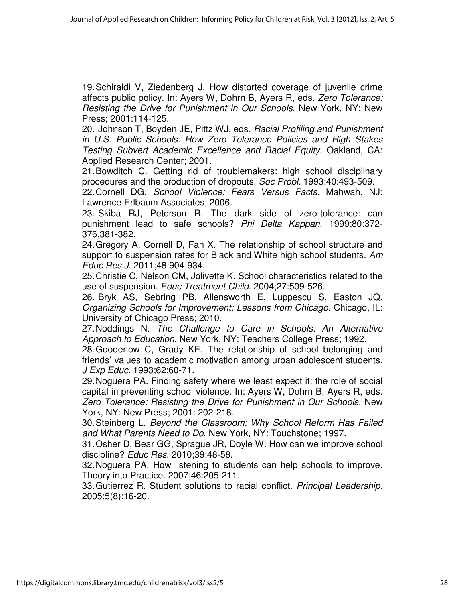19. Schiraldi V, Ziedenberg J. How distorted coverage of juvenile crime affects public policy. In: Ayers W, Dohrn B, Ayers R, eds. Zero Tolerance: Resisting the Drive for Punishment in Our Schools. New York, NY: New Press; 2001:114-125.

20. Johnson T, Boyden JE, Pittz WJ, eds. Racial Profiling and Punishment in U.S. Public Schools: How Zero Tolerance Policies and High Stakes Testing Subvert Academic Excellence and Racial Equity. Oakland, CA: Applied Research Center; 2001.

21. Bowditch C. Getting rid of troublemakers: high school disciplinary procedures and the production of dropouts. Soc Probl. 1993;40:493-509.

22. Cornell DG. School Violence: Fears Versus Facts. Mahwah, NJ: Lawrence Erlbaum Associates; 2006.

23. Skiba RJ, Peterson R. The dark side of zero-tolerance: can punishment lead to safe schools? Phi Delta Kappan. 1999;80:372- 376,381-382.

24. Gregory A, Cornell D, Fan X. The relationship of school structure and support to suspension rates for Black and White high school students. Am Educ Res J. 2011;48:904-934.

25. Christie C, Nelson CM, Jolivette K. School characteristics related to the use of suspension. Educ Treatment Child. 2004;27:509-526.

26. Bryk AS, Sebring PB, Allensworth E, Luppescu S, Easton JQ. Organizing Schools for Improvement: Lessons from Chicago. Chicago, IL: University of Chicago Press; 2010.

27. Noddings N. The Challenge to Care in Schools: An Alternative Approach to Education. New York, NY: Teachers College Press; 1992.

28. Goodenow C, Grady KE. The relationship of school belonging and friends' values to academic motivation among urban adolescent students. J Exp Educ. 1993;62:60-71.

29. Noguera PA. Finding safety where we least expect it: the role of social capital in preventing school violence. In: Ayers W, Dohrn B, Ayers R, eds. Zero Tolerance: Resisting the Drive for Punishment in Our Schools. New York, NY: New Press; 2001: 202-218.

30. Steinberg L. Beyond the Classroom: Why School Reform Has Failed and What Parents Need to Do. New York, NY: Touchstone; 1997.

31. Osher D, Bear GG, Sprague JR, Doyle W. How can we improve school discipline? Educ Res. 2010;39:48-58.

32. Noguera PA. How listening to students can help schools to improve. Theory into Practice. 2007;46:205-211.

33. Gutierrez R. Student solutions to racial conflict. Principal Leadership. 2005;5(8):16-20.